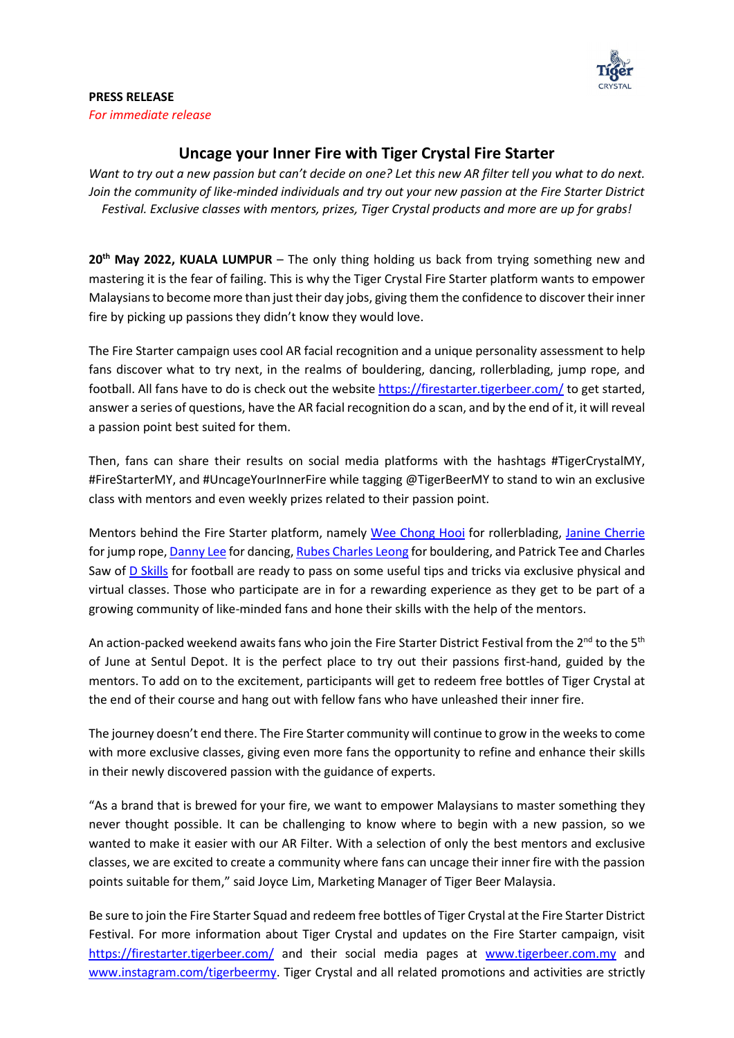

## **PRESS RELEASE** *For immediate release*

## **Uncage your Inner Fire with Tiger Crystal Fire Starter**

*Want to try out a new passion but can't decide on one? Let this new AR filter tell you what to do next. Join the community of like-minded individuals and try out your new passion at the Fire Starter District Festival. Exclusive classes with mentors, prizes, Tiger Crystal products and more are up for grabs!* 

**20th May 2022, KUALA LUMPUR** – The only thing holding us back from trying something new and mastering it is the fear of failing. This is why the Tiger Crystal Fire Starter platform wants to empower Malaysians to become more than just their day jobs, giving them the confidence to discover their inner fire by picking up passions they didn't know they would love.

The Fire Starter campaign uses cool AR facial recognition and a unique personality assessment to help fans discover what to try next, in the realms of bouldering, dancing, rollerblading, jump rope, and football. All fans have to do is check out the website<https://firestarter.tigerbeer.com/> to get started, answer a series of questions, have the AR facial recognition do a scan, and by the end of it, it will reveal a passion point best suited for them.

Then, fans can share their results on social media platforms with the hashtags #TigerCrystalMY, #FireStarterMY, and #UncageYourInnerFire while tagging @TigerBeerMY to stand to win an exclusive class with mentors and even weekly prizes related to their passion point.

Mentors behind the Fire Starter platform, namely [Wee Chong Hooi](https://www.facebook.com/weechonghooi) for rollerblading, [Janine Cherrie](https://instagram.com/janineeeee__?igshid=YmMyMTA2M2Y=) for jump rope[, Danny Lee](https://instagram.com/dannyleeyuxin?igshid=YmMyMTA2M2Y=) for dancing[, Rubes Charles Leong](https://instagram.com/heyitsrubes?igshid=YmMyMTA2M2Y=) for bouldering, and Patrick Tee and Charles Saw of [D Skills](https://www.dskills.my/) for football are ready to pass on some useful tips and tricks via exclusive physical and virtual classes. Those who participate are in for a rewarding experience as they get to be part of a growing community of like-minded fans and hone their skills with the help of the mentors.

An action-packed weekend awaits fans who join the Fire Starter District Festival from the 2<sup>nd</sup> to the 5<sup>th</sup> of June at Sentul Depot. It is the perfect place to try out their passions first-hand, guided by the mentors. To add on to the excitement, participants will get to redeem free bottles of Tiger Crystal at the end of their course and hang out with fellow fans who have unleashed their inner fire.

The journey doesn't end there. The Fire Starter community will continue to grow in the weeks to come with more exclusive classes, giving even more fans the opportunity to refine and enhance their skills in their newly discovered passion with the guidance of experts.

"As a brand that is brewed for your fire, we want to empower Malaysians to master something they never thought possible. It can be challenging to know where to begin with a new passion, so we wanted to make it easier with our AR Filter. With a selection of only the best mentors and exclusive classes, we are excited to create a community where fans can uncage their inner fire with the passion points suitable for them," said Joyce Lim, Marketing Manager of Tiger Beer Malaysia.

Be sure to join the Fire Starter Squad and redeem free bottles of Tiger Crystal at the Fire Starter District Festival. For more information about Tiger Crystal and updates on the Fire Starter campaign, visit <https://firestarter.tigerbeer.com/> and their social media pages at [www.tigerbeer.com.my](http://www.tigerbeer.com.my/) and [www.instagram.com/tigerbeermy.](http://www.instagram.com/tigerbeermy) Tiger Crystal and all related promotions and activities are strictly